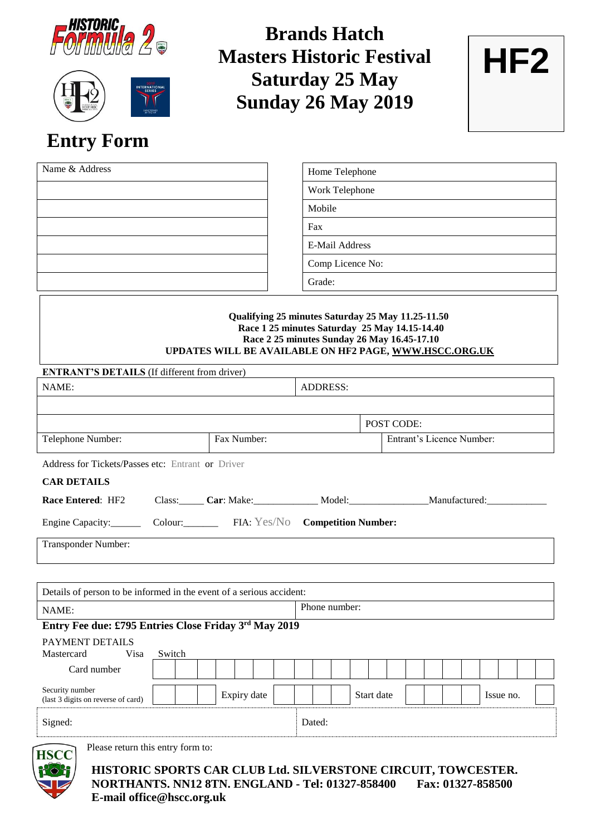



**Brands Hatch Masters Historic Festival Saturday 25 May Sunday 26 May 2019**



# **Entry Form**

| Name & Address | Home Telephone   |
|----------------|------------------|
|                | Work Telephone   |
|                | Mobile           |
|                | Fax              |
|                | E-Mail Address   |
|                | Comp Licence No: |
|                | Grade:           |
|                |                  |

### **Qualifying 25 minutes Saturday 25 May 11.25-11.50 Race 1 25 minutes Saturday 25 May 14.15-14.40 Race 2 25 minutes Sunday 26 May 16.45-17.10 UPDATES WILL BE AVAILABLE ON HF2 PAGE, [WWW.HSCC.ORG.UK](http://www.hscc.org.uk/)**

| <b>ENTRANT'S DETAILS</b> (If different from driver)                  |        |             |  |                                                             |                 |  |                           |  |  |  |  |  |           |  |  |
|----------------------------------------------------------------------|--------|-------------|--|-------------------------------------------------------------|-----------------|--|---------------------------|--|--|--|--|--|-----------|--|--|
| NAME:                                                                |        |             |  |                                                             | <b>ADDRESS:</b> |  |                           |  |  |  |  |  |           |  |  |
|                                                                      |        |             |  |                                                             |                 |  |                           |  |  |  |  |  |           |  |  |
|                                                                      |        |             |  |                                                             |                 |  | POST CODE:                |  |  |  |  |  |           |  |  |
| Telephone Number:                                                    |        | Fax Number: |  |                                                             |                 |  | Entrant's Licence Number: |  |  |  |  |  |           |  |  |
| Address for Tickets/Passes etc: Entrant or Driver                    |        |             |  |                                                             |                 |  |                           |  |  |  |  |  |           |  |  |
| <b>CAR DETAILS</b>                                                   |        |             |  |                                                             |                 |  |                           |  |  |  |  |  |           |  |  |
| Race Entered: HF2                                                    |        |             |  | Class: Car: Make: Model: Model: Manufactured: Manufactured: |                 |  |                           |  |  |  |  |  |           |  |  |
| Engine Capacity: Colour: FIA: Yes/No Competition Number:             |        |             |  |                                                             |                 |  |                           |  |  |  |  |  |           |  |  |
| Transponder Number:                                                  |        |             |  |                                                             |                 |  |                           |  |  |  |  |  |           |  |  |
|                                                                      |        |             |  |                                                             |                 |  |                           |  |  |  |  |  |           |  |  |
| Details of person to be informed in the event of a serious accident: |        |             |  |                                                             |                 |  |                           |  |  |  |  |  |           |  |  |
| NAME:                                                                |        |             |  |                                                             | Phone number:   |  |                           |  |  |  |  |  |           |  |  |
| Entry Fee due: £795 Entries Close Friday 3rd May 2019                |        |             |  |                                                             |                 |  |                           |  |  |  |  |  |           |  |  |
| <b>PAYMENT DETAILS</b><br>Mastercard<br>Visa                         | Switch |             |  |                                                             |                 |  |                           |  |  |  |  |  |           |  |  |
| Card number                                                          |        |             |  |                                                             |                 |  |                           |  |  |  |  |  |           |  |  |
| Security number<br>(last 3 digits on reverse of card)                |        | Expiry date |  |                                                             |                 |  | Start date                |  |  |  |  |  | Issue no. |  |  |
| Signed:                                                              |        |             |  | Dated:                                                      |                 |  |                           |  |  |  |  |  |           |  |  |
| Please return this entry form to:<br><b>HSCC</b>                     |        |             |  |                                                             |                 |  |                           |  |  |  |  |  |           |  |  |
| Pot<br>HISTORIC SPORTS CAR CLUB Ltd. SILVERSTONE CIRCUIT, TOWCESTER. |        |             |  |                                                             |                 |  |                           |  |  |  |  |  |           |  |  |

**NORTHANTS. NN12 8TN. ENGLAND - Tel: 01327-858400 Fax: 01327-858500 E-mail office@hscc.org.uk**